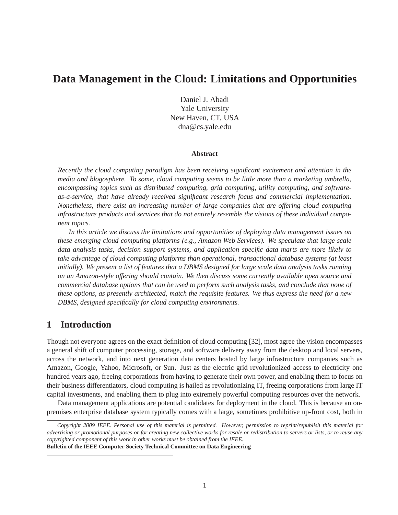# **Data Management in the Cloud: Limitations and Opportunities**

Daniel J. Abadi Yale University New Haven, CT, USA dna@cs.yale.edu

### **Abstract**

*Recently the cloud computing paradigm has been receiving significant excitement and attention in the media and blogosphere. To some, cloud computing seems to be little more than a marketing umbrella, encompassing topics such as distributed computing, grid computing, utility computing, and softwareas-a-service, that have already received significant research focus and commercial implementation. Nonetheless, there exist an increasing number of large companies that are offering cloud computing infrastructure products and services that do not entirely resemble the visions of these individual component topics.*

*In this article we discuss the limitations and opportunities of deploying data management issues on these emerging cloud computing platforms (e.g., Amazon Web Services). We speculate that large scale data analysis tasks, decision support systems, and application specific data marts are more likely to take advantage of cloud computing platforms than operational, transactional database systems (at least initially). We present a list of features that a DBMS designed for large scale data analysis tasks running on an Amazon-style offering should contain. We then discuss some currently available open source and commercial database options that can be used to perform such analysis tasks, and conclude that none of these options, as presently architected, match the requisite features. We thus express the need for a new DBMS, designed specifically for cloud computing environments.*

## **1 Introduction**

Though not everyone agrees on the exact definition of cloud computing [32], most agree the vision encompasses a general shift of computer processing, storage, and software delivery away from the desktop and local servers, across the network, and into next generation data centers hosted by large infrastructure companies such as Amazon, Google, Yahoo, Microsoft, or Sun. Just as the electric grid revolutionized access to electricity one hundred years ago, freeing corporations from having to generate their own power, and enabling them to focus on their business differentiators, cloud computing is hailed as revolutionizing IT, freeing corporations from large IT capital investments, and enabling them to plug into extremely powerful computing resources over the network.

Data management applications are potential candidates for deployment in the cloud. This is because an onpremises enterprise database system typically comes with a large, sometimes prohibitive up-front cost, both in

*Copyright 2009 IEEE. Personal use of this material is permitted. However, permission to reprint/republish this material for advertising or promotional purposes or for creating new collective works for resale or redistribution to servers or lists, or to reuse any copyrighted component of this work in other works must be obtained from the IEEE.*

**Bulletin of the IEEE Computer Society Technical Committee on Data Engineering**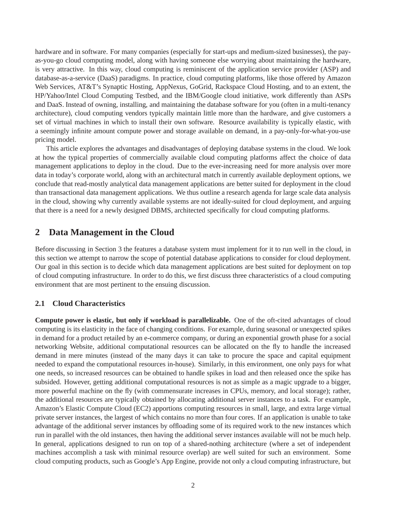hardware and in software. For many companies (especially for start-ups and medium-sized businesses), the payas-you-go cloud computing model, along with having someone else worrying about maintaining the hardware, is very attractive. In this way, cloud computing is reminiscent of the application service provider (ASP) and database-as-a-service (DaaS) paradigms. In practice, cloud computing platforms, like those offered by Amazon Web Services, AT&T's Synaptic Hosting, AppNexus, GoGrid, Rackspace Cloud Hosting, and to an extent, the HP/Yahoo/Intel Cloud Computing Testbed, and the IBM/Google cloud initiative, work differently than ASPs and DaaS. Instead of owning, installing, and maintaining the database software for you (often in a multi-tenancy architecture), cloud computing vendors typically maintain little more than the hardware, and give customers a set of virtual machines in which to install their own software. Resource availability is typically elastic, with a seemingly infinite amount compute power and storage available on demand, in a pay-only-for-what-you-use pricing model.

This article explores the advantages and disadvantages of deploying database systems in the cloud. We look at how the typical properties of commercially available cloud computing platforms affect the choice of data management applications to deploy in the cloud. Due to the ever-increasing need for more analysis over more data in today's corporate world, along with an architectural match in currently available deployment options, we conclude that read-mostly analytical data management applications are better suited for deployment in the cloud than transactional data management applications. We thus outline a research agenda for large scale data analysis in the cloud, showing why currently available systems are not ideally-suited for cloud deployment, and arguing that there is a need for a newly designed DBMS, architected specifically for cloud computing platforms.

## **2 Data Management in the Cloud**

Before discussing in Section 3 the features a database system must implement for it to run well in the cloud, in this section we attempt to narrow the scope of potential database applications to consider for cloud deployment. Our goal in this section is to decide which data management applications are best suited for deployment on top of cloud computing infrastructure. In order to do this, we first discuss three characteristics of a cloud computing environment that are most pertinent to the ensuing discussion.

## **2.1 Cloud Characteristics**

**Compute power is elastic, but only if workload is parallelizable.** One of the oft-cited advantages of cloud computing is its elasticity in the face of changing conditions. For example, during seasonal or unexpected spikes in demand for a product retailed by an e-commerce company, or during an exponential growth phase for a social networking Website, additional computational resources can be allocated on the fly to handle the increased demand in mere minutes (instead of the many days it can take to procure the space and capital equipment needed to expand the computational resources in-house). Similarly, in this environment, one only pays for what one needs, so increased resources can be obtained to handle spikes in load and then released once the spike has subsided. However, getting additional computational resources is not as simple as a magic upgrade to a bigger, more powerful machine on the fly (with commensurate increases in CPUs, memory, and local storage); rather, the additional resources are typically obtained by allocating additional server instances to a task. For example, Amazon's Elastic Compute Cloud (EC2) apportions computing resources in small, large, and extra large virtual private server instances, the largest of which contains no more than four cores. If an application is unable to take advantage of the additional server instances by offloading some of its required work to the new instances which run in parallel with the old instances, then having the additional server instances available will not be much help. In general, applications designed to run on top of a shared-nothing architecture (where a set of independent machines accomplish a task with minimal resource overlap) are well suited for such an environment. Some cloud computing products, such as Google's App Engine, provide not only a cloud computing infrastructure, but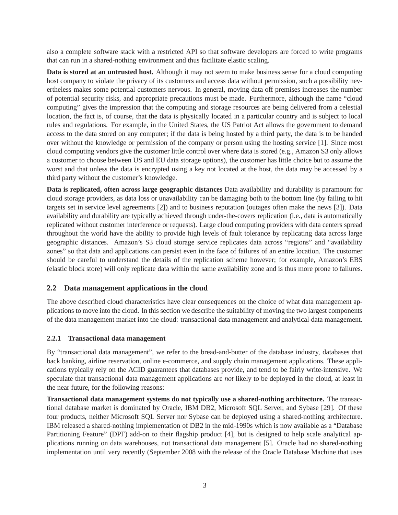also a complete software stack with a restricted API so that software developers are forced to write programs that can run in a shared-nothing environment and thus facilitate elastic scaling.

**Data is stored at an untrusted host.** Although it may not seem to make business sense for a cloud computing host company to violate the privacy of its customers and access data without permission, such a possibility nevertheless makes some potential customers nervous. In general, moving data off premises increases the number of potential security risks, and appropriate precautions must be made. Furthermore, although the name "cloud computing" gives the impression that the computing and storage resources are being delivered from a celestial location, the fact is, of course, that the data is physically located in a particular country and is subject to local rules and regulations. For example, in the United States, the US Patriot Act allows the government to demand access to the data stored on any computer; if the data is being hosted by a third party, the data is to be handed over without the knowledge or permission of the company or person using the hosting service [1]. Since most cloud computing vendors give the customer little control over where data is stored (e.g., Amazon S3 only allows a customer to choose between US and EU data storage options), the customer has little choice but to assume the worst and that unless the data is encrypted using a key not located at the host, the data may be accessed by a third party without the customer's knowledge.

**Data is replicated, often across large geographic distances** Data availability and durability is paramount for cloud storage providers, as data loss or unavailability can be damaging both to the bottom line (by failing to hit targets set in service level agreements [2]) and to business reputation (outages often make the news [3]). Data availability and durability are typically achieved through under-the-covers replication (i.e., data is automatically replicated without customer interference or requests). Large cloud computing providers with data centers spread throughout the world have the ability to provide high levels of fault tolerance by replicating data across large geographic distances. Amazon's S3 cloud storage service replicates data across "regions" and "availability zones" so that data and applications can persist even in the face of failures of an entire location. The customer should be careful to understand the details of the replication scheme however; for example, Amazon's EBS (elastic block store) will only replicate data within the same availability zone and is thus more prone to failures.

## **2.2 Data management applications in the cloud**

The above described cloud characteristics have clear consequences on the choice of what data management applications to move into the cloud. In this section we describe the suitability of moving the two largest components of the data management market into the cloud: transactional data management and analytical data management.

## **2.2.1 Transactional data management**

By "transactional data management", we refer to the bread-and-butter of the database industry, databases that back banking, airline reservation, online e-commerce, and supply chain management applications. These applications typically rely on the ACID guarantees that databases provide, and tend to be fairly write-intensive. We speculate that transactional data management applications are *not* likely to be deployed in the cloud, at least in the near future, for the following reasons:

**Transactional data management systems do not typically use a shared-nothing architecture.** The transactional database market is dominated by Oracle, IBM DB2, Microsoft SQL Server, and Sybase [29]. Of these four products, neither Microsoft SQL Server nor Sybase can be deployed using a shared-nothing architecture. IBM released a shared-nothing implementation of DB2 in the mid-1990s which is now available as a "Database Partitioning Feature" (DPF) add-on to their flagship product [4], but is designed to help scale analytical applications running on data warehouses, not transactional data management [5]. Oracle had no shared-nothing implementation until very recently (September 2008 with the release of the Oracle Database Machine that uses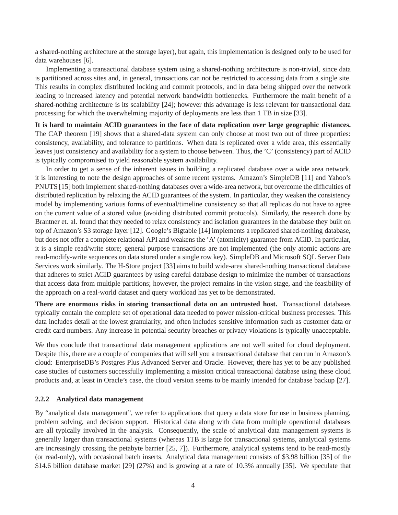a shared-nothing architecture at the storage layer), but again, this implementation is designed only to be used for data warehouses [6].

Implementing a transactional database system using a shared-nothing architecture is non-trivial, since data is partitioned across sites and, in general, transactions can not be restricted to accessing data from a single site. This results in complex distributed locking and commit protocols, and in data being shipped over the network leading to increased latency and potential network bandwidth bottlenecks. Furthermore the main benefit of a shared-nothing architecture is its scalability [24]; however this advantage is less relevant for transactional data processing for which the overwhelming majority of deployments are less than 1 TB in size [33].

**It is hard to maintain ACID guarantees in the face of data replication over large geographic distances.** The CAP theorem [19] shows that a shared-data system can only choose at most two out of three properties: consistency, availability, and tolerance to partitions. When data is replicated over a wide area, this essentially leaves just consistency and availability for a system to choose between. Thus, the 'C' (consistency) part of ACID is typically compromised to yield reasonable system availability.

In order to get a sense of the inherent issues in building a replicated database over a wide area network, it is interesting to note the design approaches of some recent systems. Amazon's SimpleDB [11] and Yahoo's PNUTS [15] both implement shared-nothing databases over a wide-area network, but overcome the difficulties of distributed replication by relaxing the ACID guarantees of the system. In particular, they weaken the consistency model by implementing various forms of eventual/timeline consistency so that all replicas do not have to agree on the current value of a stored value (avoiding distributed commit protocols). Similarly, the research done by Brantner et. al. found that they needed to relax consistency and isolation guarantees in the database they built on top of Amazon's S3 storage layer [12]. Google's Bigtable [14] implements a replicated shared-nothing database, but does not offer a complete relational API and weakens the 'A' (atomicity) guarantee from ACID. In particular, it is a simple read/write store; general purpose transactions are not implemented (the only atomic actions are read-modify-write sequences on data stored under a single row key). SimpleDB and Microsoft SQL Server Data Services work similarly. The H-Store project [33] aims to build wide-area shared-nothing transactional database that adheres to strict ACID guarantees by using careful database design to minimize the number of transactions that access data from multiple partitions; however, the project remains in the vision stage, and the feasibility of the approach on a real-world dataset and query workload has yet to be demonstrated.

**There are enormous risks in storing transactional data on an untrusted host.** Transactional databases typically contain the complete set of operational data needed to power mission-critical business processes. This data includes detail at the lowest granularity, and often includes sensitive information such as customer data or credit card numbers. Any increase in potential security breaches or privacy violations is typically unacceptable.

We thus conclude that transactional data management applications are not well suited for cloud deployment. Despite this, there are a couple of companies that will sell you a transactional database that can run in Amazon's cloud: EnterpriseDB's Postgres Plus Advanced Server and Oracle. However, there has yet to be any published case studies of customers successfully implementing a mission critical transactional database using these cloud products and, at least in Oracle's case, the cloud version seems to be mainly intended for database backup [27].

#### **2.2.2 Analytical data management**

By "analytical data management", we refer to applications that query a data store for use in business planning, problem solving, and decision support. Historical data along with data from multiple operational databases are all typically involved in the analysis. Consequently, the scale of analytical data management systems is generally larger than transactional systems (whereas 1TB is large for transactional systems, analytical systems are increasingly crossing the petabyte barrier [25, 7]). Furthermore, analytical systems tend to be read-mostly (or read-only), with occasional batch inserts. Analytical data management consists of \$3.98 billion [35] of the \$14.6 billion database market [29] (27%) and is growing at a rate of 10.3% annually [35]. We speculate that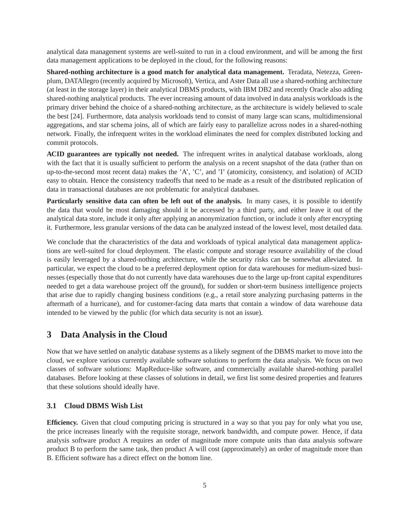analytical data management systems are well-suited to run in a cloud environment, and will be among the first data management applications to be deployed in the cloud, for the following reasons:

**Shared-nothing architecture is a good match for analytical data management.** Teradata, Netezza, Greenplum, DATAllegro (recently acquired by Microsoft), Vertica, and Aster Data all use a shared-nothing architecture (at least in the storage layer) in their analytical DBMS products, with IBM DB2 and recently Oracle also adding shared-nothing analytical products. The ever increasing amount of data involved in data analysis workloads is the primary driver behind the choice of a shared-nothing architecture, as the architecture is widely believed to scale the best [24]. Furthermore, data analysis workloads tend to consist of many large scan scans, multidimensional aggregations, and star schema joins, all of which are fairly easy to parallelize across nodes in a shared-nothing network. Finally, the infrequent writes in the workload eliminates the need for complex distributed locking and commit protocols.

**ACID guarantees are typically not needed.** The infrequent writes in analytical database workloads, along with the fact that it is usually sufficient to perform the analysis on a recent snapshot of the data (rather than on up-to-the-second most recent data) makes the 'A', 'C', and 'I' (atomicity, consistency, and isolation) of ACID easy to obtain. Hence the consistency tradeoffs that need to be made as a result of the distributed replication of data in transactional databases are not problematic for analytical databases.

**Particularly sensitive data can often be left out of the analysis.** In many cases, it is possible to identify the data that would be most damaging should it be accessed by a third party, and either leave it out of the analytical data store, include it only after applying an anonymization function, or include it only after encrypting it. Furthermore, less granular versions of the data can be analyzed instead of the lowest level, most detailed data.

We conclude that the characteristics of the data and workloads of typical analytical data management applications are well-suited for cloud deployment. The elastic compute and storage resource availability of the cloud is easily leveraged by a shared-nothing architecture, while the security risks can be somewhat alleviated. In particular, we expect the cloud to be a preferred deployment option for data warehouses for medium-sized businesses (especially those that do not currently have data warehouses due to the large up-front capital expenditures needed to get a data warehouse project off the ground), for sudden or short-term business intelligence projects that arise due to rapidly changing business conditions (e.g., a retail store analyzing purchasing patterns in the aftermath of a hurricane), and for customer-facing data marts that contain a window of data warehouse data intended to be viewed by the public (for which data security is not an issue).

## **3 Data Analysis in the Cloud**

Now that we have settled on analytic database systems as a likely segment of the DBMS market to move into the cloud, we explore various currently available software solutions to perform the data analysis. We focus on two classes of software solutions: MapReduce-like software, and commercially available shared-nothing parallel databases. Before looking at these classes of solutions in detail, we first list some desired properties and features that these solutions should ideally have.

## **3.1 Cloud DBMS Wish List**

**Efficiency.** Given that cloud computing pricing is structured in a way so that you pay for only what you use, the price increases linearly with the requisite storage, network bandwidth, and compute power. Hence, if data analysis software product A requires an order of magnitude more compute units than data analysis software product B to perform the same task, then product A will cost (approximately) an order of magnitude more than B. Efficient software has a direct effect on the bottom line.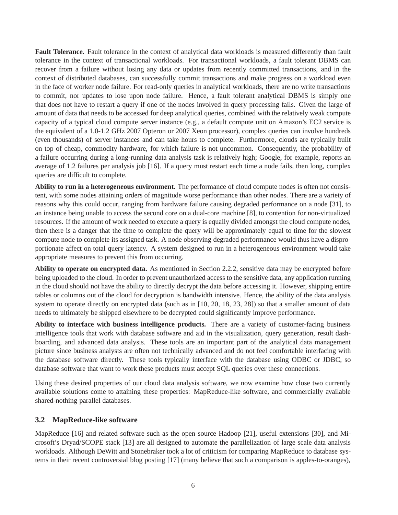**Fault Tolerance.** Fault tolerance in the context of analytical data workloads is measured differently than fault tolerance in the context of transactional workloads. For transactional workloads, a fault tolerant DBMS can recover from a failure without losing any data or updates from recently committed transactions, and in the context of distributed databases, can successfully commit transactions and make progress on a workload even in the face of worker node failure. For read-only queries in analytical workloads, there are no write transactions to commit, nor updates to lose upon node failure. Hence, a fault tolerant analytical DBMS is simply one that does not have to restart a query if one of the nodes involved in query processing fails. Given the large of amount of data that needs to be accessed for deep analytical queries, combined with the relatively weak compute capacity of a typical cloud compute server instance (e.g., a default compute unit on Amazon's EC2 service is the equivalent of a 1.0-1.2 GHz 2007 Opteron or 2007 Xeon processor), complex queries can involve hundreds (even thousands) of server instances and can take hours to complete. Furthermore, clouds are typically built on top of cheap, commodity hardware, for which failure is not uncommon. Consequently, the probability of a failure occurring during a long-running data analysis task is relatively high; Google, for example, reports an average of 1.2 failures per analysis job [16]. If a query must restart each time a node fails, then long, complex queries are difficult to complete.

**Ability to run in a heterogeneous environment.** The performance of cloud compute nodes is often not consistent, with some nodes attaining orders of magnitude worse performance than other nodes. There are a variety of reasons why this could occur, ranging from hardware failure causing degraded performance on a node [31], to an instance being unable to access the second core on a dual-core machine [8], to contention for non-virtualized resources. If the amount of work needed to execute a query is equally divided amongst the cloud compute nodes, then there is a danger that the time to complete the query will be approximately equal to time for the slowest compute node to complete its assigned task. A node observing degraded performance would thus have a disproportionate affect on total query latency. A system designed to run in a heterogeneous environment would take appropriate measures to prevent this from occurring.

**Ability to operate on encrypted data.** As mentioned in Section 2.2.2, sensitive data may be encrypted before being uploaded to the cloud. In order to prevent unauthorized access to the sensitive data, any application running in the cloud should not have the ability to directly decrypt the data before accessing it. However, shipping entire tables or columns out of the cloud for decryption is bandwidth intensive. Hence, the ability of the data analysis system to operate directly on encrypted data (such as in [10, 20, 18, 23, 28]) so that a smaller amount of data needs to ultimately be shipped elsewhere to be decrypted could significantly improve performance.

**Ability to interface with business intelligence products.** There are a variety of customer-facing business intelligence tools that work with database software and aid in the visualization, query generation, result dashboarding, and advanced data analysis. These tools are an important part of the analytical data management picture since business analysts are often not technically advanced and do not feel comfortable interfacing with the database software directly. These tools typically interface with the database using ODBC or JDBC, so database software that want to work these products must accept SQL queries over these connections.

Using these desired properties of our cloud data analysis software, we now examine how close two currently available solutions come to attaining these properties: MapReduce-like software, and commercially available shared-nothing parallel databases.

## **3.2 MapReduce-like software**

MapReduce [16] and related software such as the open source Hadoop [21], useful extensions [30], and Microsoft's Dryad/SCOPE stack [13] are all designed to automate the parallelization of large scale data analysis workloads. Although DeWitt and Stonebraker took a lot of criticism for comparing MapReduce to database systems in their recent controversial blog posting [17] (many believe that such a comparison is apples-to-oranges),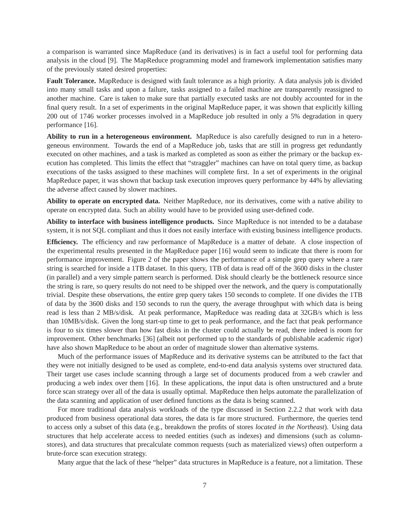a comparison is warranted since MapReduce (and its derivatives) is in fact a useful tool for performing data analysis in the cloud [9]. The MapReduce programming model and framework implementation satisfies many of the previously stated desired properties:

**Fault Tolerance.** MapReduce is designed with fault tolerance as a high priority. A data analysis job is divided into many small tasks and upon a failure, tasks assigned to a failed machine are transparently reassigned to another machine. Care is taken to make sure that partially executed tasks are not doubly accounted for in the final query result. In a set of experiments in the original MapReduce paper, it was shown that explicitly killing 200 out of 1746 worker processes involved in a MapReduce job resulted in only a 5% degradation in query performance [16].

**Ability to run in a heterogeneous environment.** MapReduce is also carefully designed to run in a heterogeneous environment. Towards the end of a MapReduce job, tasks that are still in progress get redundantly executed on other machines, and a task is marked as completed as soon as either the primary or the backup execution has completed. This limits the effect that "straggler" machines can have on total query time, as backup executions of the tasks assigned to these machines will complete first. In a set of experiments in the original MapReduce paper, it was shown that backup task execution improves query performance by 44% by alleviating the adverse affect caused by slower machines.

**Ability to operate on encrypted data.** Neither MapReduce, nor its derivatives, come with a native ability to operate on encrypted data. Such an ability would have to be provided using user-defined code.

**Ability to interface with business intelligence products.** Since MapReduce is not intended to be a database system, it is not SQL compliant and thus it does not easily interface with existing business intelligence products.

**Efficiency.** The efficiency and raw performance of MapReduce is a matter of debate. A close inspection of the experimental results presented in the MapReduce paper [16] would seem to indicate that there is room for performance improvement. Figure 2 of the paper shows the performance of a simple grep query where a rare string is searched for inside a 1TB dataset. In this query, 1TB of data is read off of the 3600 disks in the cluster (in parallel) and a very simple pattern search is performed. Disk should clearly be the bottleneck resource since the string is rare, so query results do not need to be shipped over the network, and the query is computationally trivial. Despite these observations, the entire grep query takes 150 seconds to complete. If one divides the 1TB of data by the 3600 disks and 150 seconds to run the query, the average throughput with which data is being read is less than 2 MB/s/disk. At peak performance, MapReduce was reading data at 32GB/s which is less than 10MB/s/disk. Given the long start-up time to get to peak performance, and the fact that peak performance is four to six times slower than how fast disks in the cluster could actually be read, there indeed is room for improvement. Other benchmarks [36] (albeit not performed up to the standards of publishable academic rigor) have also shown MapReduce to be about an order of magnitude slower than alternative systems.

Much of the performance issues of MapReduce and its derivative systems can be attributed to the fact that they were not initially designed to be used as complete, end-to-end data analysis systems over structured data. Their target use cases include scanning through a large set of documents produced from a web crawler and producing a web index over them [16]. In these applications, the input data is often unstructured and a brute force scan strategy over all of the data is usually optimal. MapReduce then helps automate the parallelization of the data scanning and application of user defined functions as the data is being scanned.

For more traditional data analysis workloads of the type discussed in Section 2.2.2 that work with data produced from business operational data stores, the data is far more structured. Furthermore, the queries tend to access only a subset of this data (e.g., breakdown the profits of stores *located in the Northeast*). Using data structures that help accelerate access to needed entities (such as indexes) and dimensions (such as columnstores), and data structures that precalculate common requests (such as materialized views) often outperform a brute-force scan execution strategy.

Many argue that the lack of these "helper" data structures in MapReduce is a feature, not a limitation. These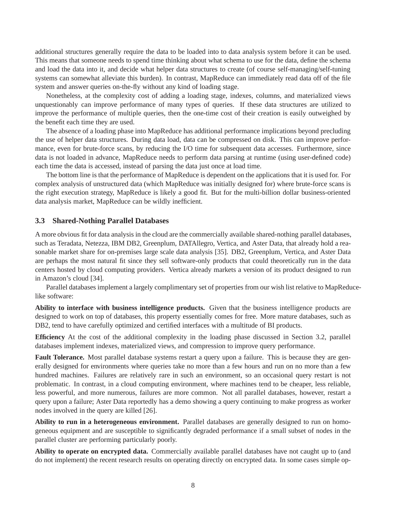additional structures generally require the data to be loaded into to data analysis system before it can be used. This means that someone needs to spend time thinking about what schema to use for the data, define the schema and load the data into it, and decide what helper data structures to create (of course self-managing/self-tuning systems can somewhat alleviate this burden). In contrast, MapReduce can immediately read data off of the file system and answer queries on-the-fly without any kind of loading stage.

Nonetheless, at the complexity cost of adding a loading stage, indexes, columns, and materialized views unquestionably can improve performance of many types of queries. If these data structures are utilized to improve the performance of multiple queries, then the one-time cost of their creation is easily outweighed by the benefit each time they are used.

The absence of a loading phase into MapReduce has additional performance implications beyond precluding the use of helper data structures. During data load, data can be compressed on disk. This can improve performance, even for brute-force scans, by reducing the I/O time for subsequent data accesses. Furthermore, since data is not loaded in advance, MapReduce needs to perform data parsing at runtime (using user-defined code) each time the data is accessed, instead of parsing the data just once at load time.

The bottom line is that the performance of MapReduce is dependent on the applications that it is used for. For complex analysis of unstructured data (which MapReduce was initially designed for) where brute-force scans is the right execution strategy, MapReduce is likely a good fit. But for the multi-billion dollar business-oriented data analysis market, MapReduce can be wildly inefficient.

### **3.3 Shared-Nothing Parallel Databases**

A more obvious fit for data analysis in the cloud are the commercially available shared-nothing parallel databases, such as Teradata, Netezza, IBM DB2, Greenplum, DATAllegro, Vertica, and Aster Data, that already hold a reasonable market share for on-premises large scale data analysis [35]. DB2, Greenplum, Vertica, and Aster Data are perhaps the most natural fit since they sell software-only products that could theoretically run in the data centers hosted by cloud computing providers. Vertica already markets a version of its product designed to run in Amazon's cloud [34].

Parallel databases implement a largely complimentary set of properties from our wish list relative to MapReducelike software:

**Ability to interface with business intelligence products.** Given that the business intelligence products are designed to work on top of databases, this property essentially comes for free. More mature databases, such as DB2, tend to have carefully optimized and certified interfaces with a multitude of BI products.

**Efficiency** At the cost of the additional complexity in the loading phase discussed in Section 3.2, parallel databases implement indexes, materialized views, and compression to improve query performance.

**Fault Tolerance.** Most parallel database systems restart a query upon a failure. This is because they are generally designed for environments where queries take no more than a few hours and run on no more than a few hundred machines. Failures are relatively rare in such an environment, so an occasional query restart is not problematic. In contrast, in a cloud computing environment, where machines tend to be cheaper, less reliable, less powerful, and more numerous, failures are more common. Not all parallel databases, however, restart a query upon a failure; Aster Data reportedly has a demo showing a query continuing to make progress as worker nodes involved in the query are killed [26].

**Ability to run in a heterogeneous environment.** Parallel databases are generally designed to run on homogeneous equipment and are susceptible to significantly degraded performance if a small subset of nodes in the parallel cluster are performing particularly poorly.

**Ability to operate on encrypted data.** Commercially available parallel databases have not caught up to (and do not implement) the recent research results on operating directly on encrypted data. In some cases simple op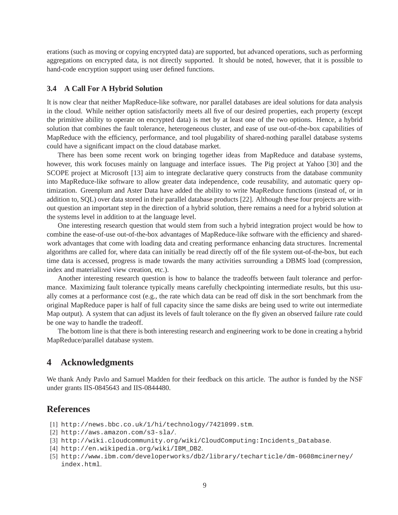erations (such as moving or copying encrypted data) are supported, but advanced operations, such as performing aggregations on encrypted data, is not directly supported. It should be noted, however, that it is possible to hand-code encryption support using user defined functions.

### **3.4 A Call For A Hybrid Solution**

It is now clear that neither MapReduce-like software, nor parallel databases are ideal solutions for data analysis in the cloud. While neither option satisfactorily meets all five of our desired properties, each property (except the primitive ability to operate on encrypted data) is met by at least one of the two options. Hence, a hybrid solution that combines the fault tolerance, heterogeneous cluster, and ease of use out-of-the-box capabilities of MapReduce with the efficiency, performance, and tool plugability of shared-nothing parallel database systems could have a significant impact on the cloud database market.

There has been some recent work on bringing together ideas from MapReduce and database systems, however, this work focuses mainly on language and interface issues. The Pig project at Yahoo [30] and the SCOPE project at Microsoft [13] aim to integrate declarative query constructs from the database community into MapReduce-like software to allow greater data independence, code reusability, and automatic query optimization. Greenplum and Aster Data have added the ability to write MapReduce functions (instead of, or in addition to, SQL) over data stored in their parallel database products [22]. Although these four projects are without question an important step in the direction of a hybrid solution, there remains a need for a hybrid solution at the systems level in addition to at the language level.

One interesting research question that would stem from such a hybrid integration project would be how to combine the ease-of-use out-of-the-box advantages of MapReduce-like software with the efficiency and sharedwork advantages that come with loading data and creating performance enhancing data structures. Incremental algorithms are called for, where data can initially be read directly off of the file system out-of-the-box, but each time data is accessed, progress is made towards the many activities surrounding a DBMS load (compression, index and materialized view creation, etc.).

Another interesting research question is how to balance the tradeoffs between fault tolerance and performance. Maximizing fault tolerance typically means carefully checkpointing intermediate results, but this usually comes at a performance cost (e.g., the rate which data can be read off disk in the sort benchmark from the original MapReduce paper is half of full capacity since the same disks are being used to write out intermediate Map output). A system that can adjust its levels of fault tolerance on the fly given an observed failure rate could be one way to handle the tradeoff.

The bottom line is that there is both interesting research and engineering work to be done in creating a hybrid MapReduce/parallel database system.

## **4 Acknowledgments**

We thank Andy Pavlo and Samuel Madden for their feedback on this article. The author is funded by the NSF under grants IIS-0845643 and IIS-0844480.

## **References**

- [1] http://news.bbc.co.uk/1/hi/technology/7421099.stm.
- [2] http://aws.amazon.com/s3-sla/.
- [3] http://wiki.cloudcommunity.org/wiki/CloudComputing:Incidents\_Database.
- [4] http://en.wikipedia.org/wiki/IBM\_DB2.
- [5] http://www.ibm.com/developerworks/db2/library/techarticle/dm-0608mcinerney/ index.html.